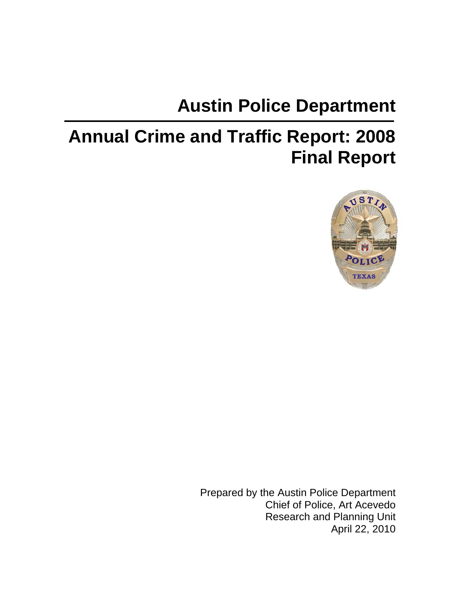# **Austin Police Department**

# **Annual Crime and Traffic Report: 2008 Final Report**



Prepared by the Austin Police Department Chief of Police, Art Acevedo Research and Planning Unit April 22, 2010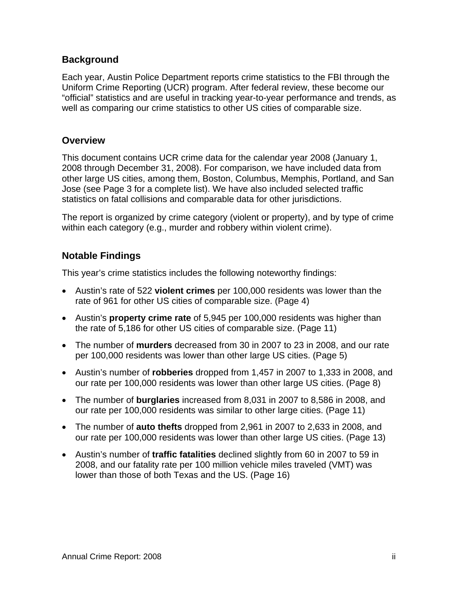#### **Background**

Each year, Austin Police Department reports crime statistics to the FBI through the Uniform Crime Reporting (UCR) program. After federal review, these become our "official" statistics and are useful in tracking year-to-year performance and trends, as well as comparing our crime statistics to other US cities of comparable size.

#### **Overview**

This document contains UCR crime data for the calendar year 2008 (January 1, 2008 through December 31, 2008). For comparison, we have included data from other large US cities, among them, Boston, Columbus, Memphis, Portland, and San Jose (see Page 3 for a complete list). We have also included selected traffic statistics on fatal collisions and comparable data for other jurisdictions.

The report is organized by crime category (violent or property), and by type of crime within each category (e.g., murder and robbery within violent crime).

#### **Notable Findings**

This year's crime statistics includes the following noteworthy findings:

- Austin's rate of 522 **violent crimes** per 100,000 residents was lower than the rate of 961 for other US cities of comparable size. (Page 4)
- Austin's **property crime rate** of 5,945 per 100,000 residents was higher than the rate of 5,186 for other US cities of comparable size. (Page 11)
- The number of **murders** decreased from 30 in 2007 to 23 in 2008, and our rate per 100,000 residents was lower than other large US cities. (Page 5)
- Austin's number of **robberies** dropped from 1,457 in 2007 to 1,333 in 2008, and our rate per 100,000 residents was lower than other large US cities. (Page 8)
- The number of **burglaries** increased from 8,031 in 2007 to 8,586 in 2008, and our rate per 100,000 residents was similar to other large cities. (Page 11)
- The number of **auto thefts** dropped from 2,961 in 2007 to 2,633 in 2008, and our rate per 100,000 residents was lower than other large US cities. (Page 13)
- Austin's number of **traffic fatalities** declined slightly from 60 in 2007 to 59 in 2008, and our fatality rate per 100 million vehicle miles traveled (VMT) was lower than those of both Texas and the US. (Page 16)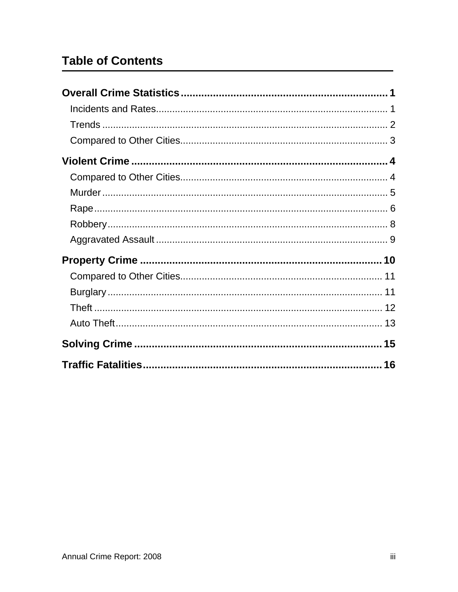# **Table of Contents**

| 16 |  |
|----|--|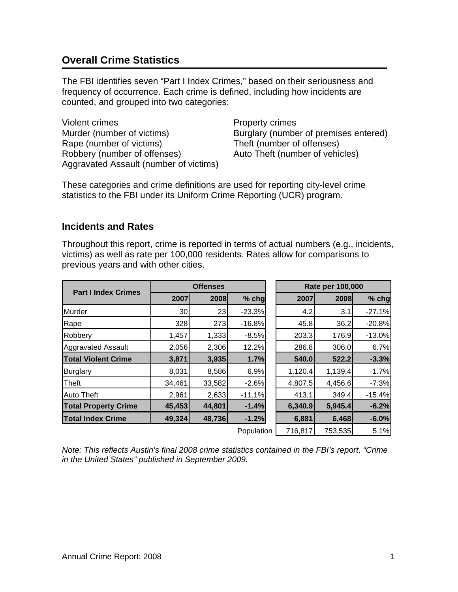# **Overall Crime Statistics**

The FBI identifies seven "Part I Index Crimes," based on their seriousness and frequency of occurrence. Each crime is defined, including how incidents are counted, and grouped into two categories:

Violent crimes **Property crimes** Murder (number of victims) Burglary (number of premises entered) Rape (number of victims) Theft (number of offenses) Robbery (number of offenses) Auto Theft (number of vehicles) Aggravated Assault (number of victims)

These categories and crime definitions are used for reporting city-level crime statistics to the FBI under its Uniform Crime Reporting (UCR) program.

#### **Incidents and Rates**

Throughout this report, crime is reported in terms of actual numbers (e.g., incidents, victims) as well as rate per 100,000 residents. Rates allow for comparisons to previous years and with other cities.

|                             | <b>Offenses</b> |        |            | Rate per 100,000 |         |          |  |
|-----------------------------|-----------------|--------|------------|------------------|---------|----------|--|
| <b>Part I Index Crimes</b>  | 2007            | 2008   | $%$ chg    | 2007             | 2008    | $%$ chg  |  |
| Murder                      | 30 <sub>l</sub> | 23     | $-23.3%$   | 4.2              | 3.1     | $-27.1%$ |  |
| Rape                        | 328             | 273    | $-16.8%$   | 45.8             | 36.2    | $-20.8%$ |  |
| Robbery                     | 1,457           | 1,333  | $-8.5%$    | 203.3            | 176.9   | $-13.0%$ |  |
| <b>Aggravated Assault</b>   | 2,056           | 2,306  | 12.2%      | 286.8            | 306.0   | 6.7%     |  |
| <b>Total Violent Crime</b>  | 3,871           | 3,935  | 1.7%       | 540.0            | 522.2   | $-3.3%$  |  |
| <b>Burglary</b>             | 8,031           | 8,586  | 6.9%       | 1,120.4          | 1,139.4 | 1.7%     |  |
| Theft                       | 34,461          | 33,582 | $-2.6%$    | 4,807.5          | 4,456.6 | $-7.3%$  |  |
| <b>Auto Theft</b>           | 2,961           | 2,633  | $-11.1%$   | 413.1            | 349.4   | $-15.4%$ |  |
| <b>Total Property Crime</b> | 45,453          | 44,801 | $-1.4%$    | 6,340.9          | 5,945.4 | $-6.2%$  |  |
| <b>Total Index Crime</b>    | 49,324          | 48,736 | $-1.2%$    | 6,881            | 6,468   | $-6.0%$  |  |
|                             |                 |        | Population | 716,817          | 753,535 | 5.1%     |  |

*Note: This reflects Austin's final 2008 crime statistics contained in the FBI's report, "Crime in the United States" published in September 2009.*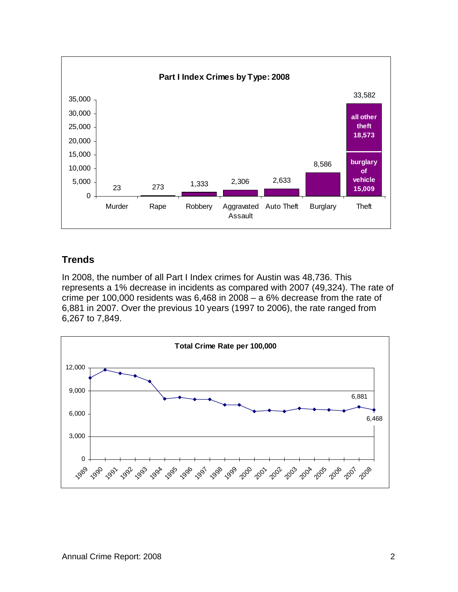

#### **Trends**

In 2008, the number of all Part I Index crimes for Austin was 48,736. This represents a 1% decrease in incidents as compared with 2007 (49,324). The rate of crime per 100,000 residents was 6,468 in 2008 – a 6% decrease from the rate of 6,881 in 2007. Over the previous 10 years (1997 to 2006), the rate ranged from 6,267 to 7,849.

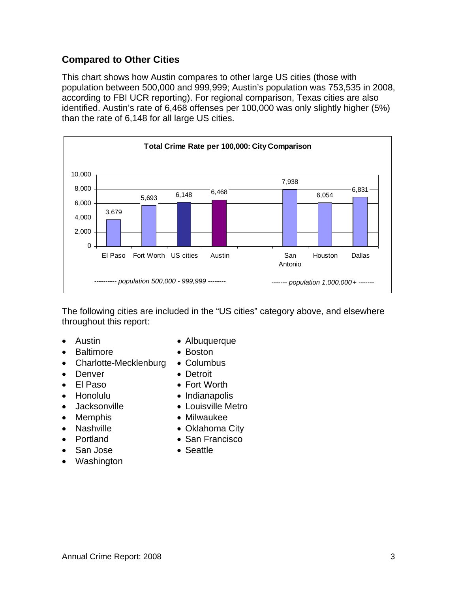#### **Compared to Other Cities**

This chart shows how Austin compares to other large US cities (those with population between 500,000 and 999,999; Austin's population was 753,535 in 2008, according to FBI UCR reporting). For regional comparison, Texas cities are also identified. Austin's rate of 6,468 offenses per 100,000 was only slightly higher (5%) than the rate of 6,148 for all large US cities.



The following cities are included in the "US cities" category above, and elsewhere throughout this report:

- 
- Baltimore Boston
- Charlotte-Mecklenburg Columbus
- 
- 
- 
- 
- 
- 
- 
- 
- Washington
- Austin Albuquerque
	-
	-
- **Denver** Detroit
- El Paso Fort Worth
- Honolulu Indianapolis
- Jacksonville Louisville Metro
- Memphis Milwaukee
- Nashville Oklahoma City
- **Portland San Francisco**
- San Jose  **Seattle**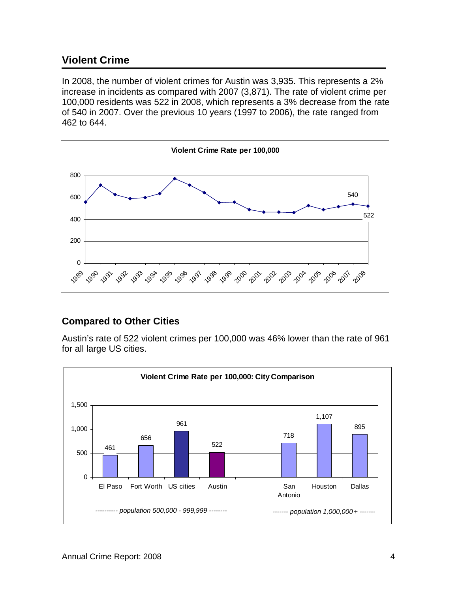## **Violent Crime**

In 2008, the number of violent crimes for Austin was 3,935. This represents a 2% increase in incidents as compared with 2007 (3,871). The rate of violent crime per 100,000 residents was 522 in 2008, which represents a 3% decrease from the rate of 540 in 2007. Over the previous 10 years (1997 to 2006), the rate ranged from 462 to 644.



#### **Compared to Other Cities**

Austin's rate of 522 violent crimes per 100,000 was 46% lower than the rate of 961 for all large US cities.

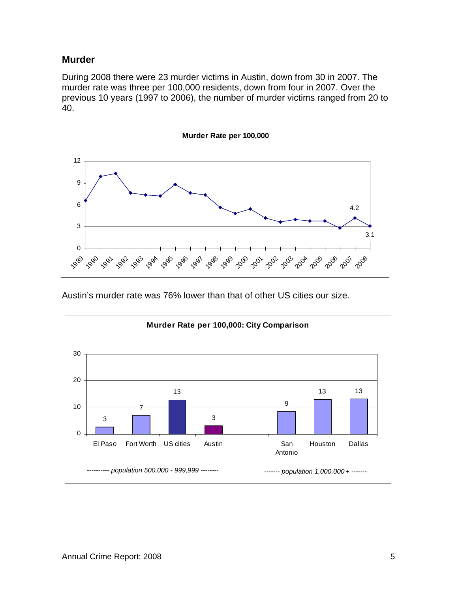#### **Murder**

During 2008 there were 23 murder victims in Austin, down from 30 in 2007. The murder rate was three per 100,000 residents, down from four in 2007. Over the previous 10 years (1997 to 2006), the number of murder victims ranged from 20 to 40.



Austin's murder rate was 76% lower than that of other US cities our size.

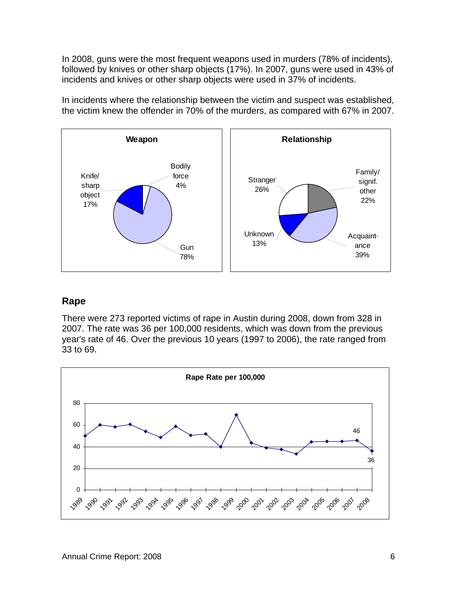In 2008, guns were the most frequent weapons used in murders (78% of incidents), followed by knives or other sharp objects (17%). In 2007, guns were used in 43% of incidents and knives or other sharp objects were used in 37% of incidents.

In incidents where the relationship between the victim and suspect was established, the victim knew the offender in 70% of the murders, as compared with 67% in 2007.



#### **Rape**

There were 273 reported victims of rape in Austin during 2008, down from 328 in 2007. The rate was 36 per 100,000 residents, which was down from the previous year's rate of 46. Over the previous 10 years (1997 to 2006), the rate ranged from 33 to 69.

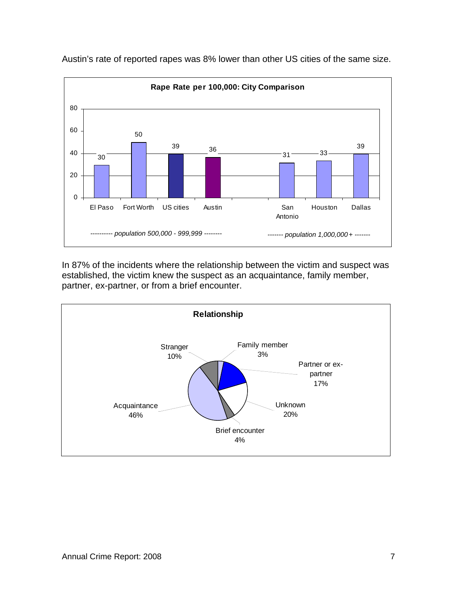

Austin's rate of reported rapes was 8% lower than other US cities of the same size.

In 87% of the incidents where the relationship between the victim and suspect was established, the victim knew the suspect as an acquaintance, family member, partner, ex-partner, or from a brief encounter.

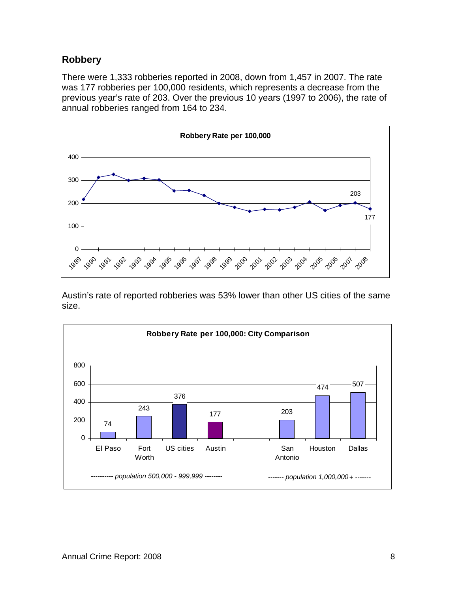# **Robbery**

There were 1,333 robberies reported in 2008, down from 1,457 in 2007. The rate was 177 robberies per 100,000 residents, which represents a decrease from the previous year's rate of 203. Over the previous 10 years (1997 to 2006), the rate of annual robberies ranged from 164 to 234.



Austin's rate of reported robberies was 53% lower than other US cities of the same size.

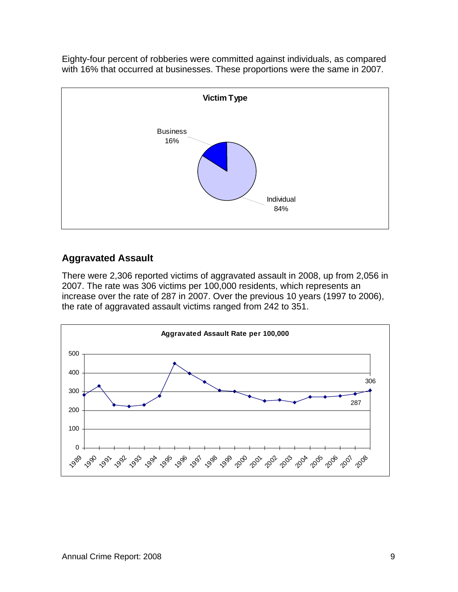Eighty-four percent of robberies were committed against individuals, as compared with 16% that occurred at businesses. These proportions were the same in 2007.



#### **Aggravated Assault**

There were 2,306 reported victims of aggravated assault in 2008, up from 2,056 in 2007. The rate was 306 victims per 100,000 residents, which represents an increase over the rate of 287 in 2007. Over the previous 10 years (1997 to 2006), the rate of aggravated assault victims ranged from 242 to 351.

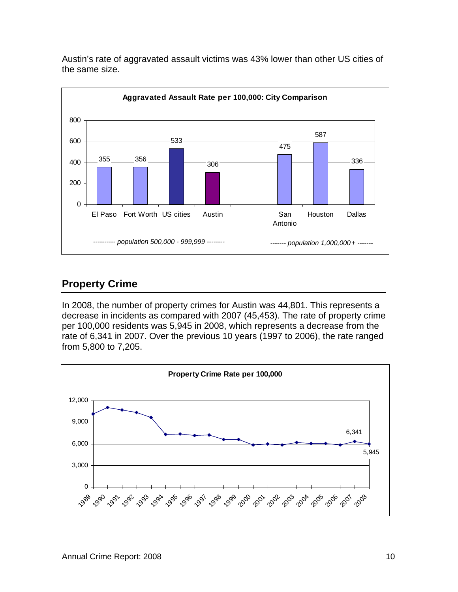

Austin's rate of aggravated assault victims was 43% lower than other US cities of the same size.

# **Property Crime**

In 2008, the number of property crimes for Austin was 44,801. This represents a decrease in incidents as compared with 2007 (45,453). The rate of property crime per 100,000 residents was 5,945 in 2008, which represents a decrease from the rate of 6,341 in 2007. Over the previous 10 years (1997 to 2006), the rate ranged from 5,800 to 7,205.

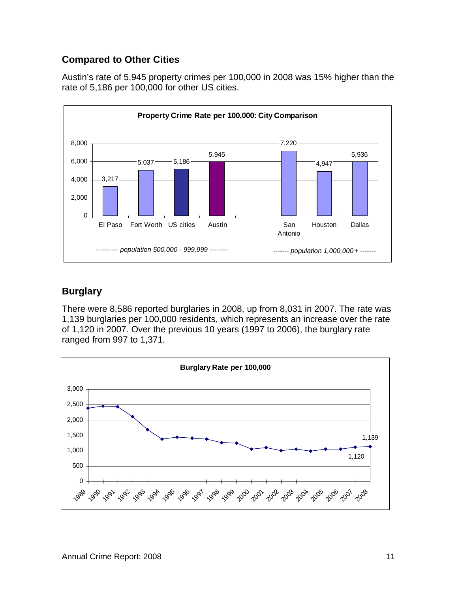#### **Compared to Other Cities**

Austin's rate of 5,945 property crimes per 100,000 in 2008 was 15% higher than the rate of 5,186 per 100,000 for other US cities.



## **Burglary**

There were 8,586 reported burglaries in 2008, up from 8,031 in 2007. The rate was 1,139 burglaries per 100,000 residents, which represents an increase over the rate of 1,120 in 2007. Over the previous 10 years (1997 to 2006), the burglary rate ranged from 997 to 1,371.

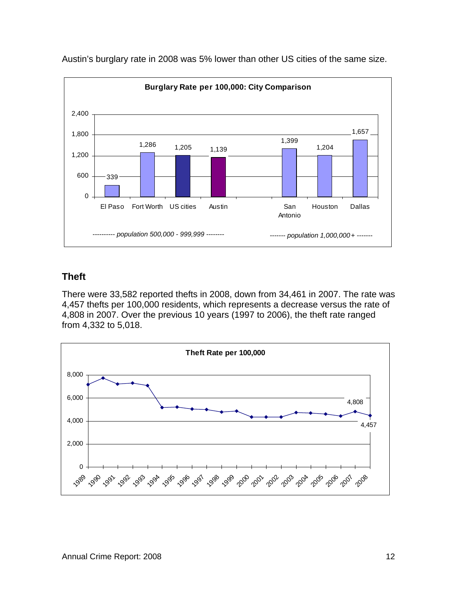

Austin's burglary rate in 2008 was 5% lower than other US cities of the same size.

## **Theft**

There were 33,582 reported thefts in 2008, down from 34,461 in 2007. The rate was 4,457 thefts per 100,000 residents, which represents a decrease versus the rate of 4,808 in 2007. Over the previous 10 years (1997 to 2006), the theft rate ranged from 4,332 to 5,018.

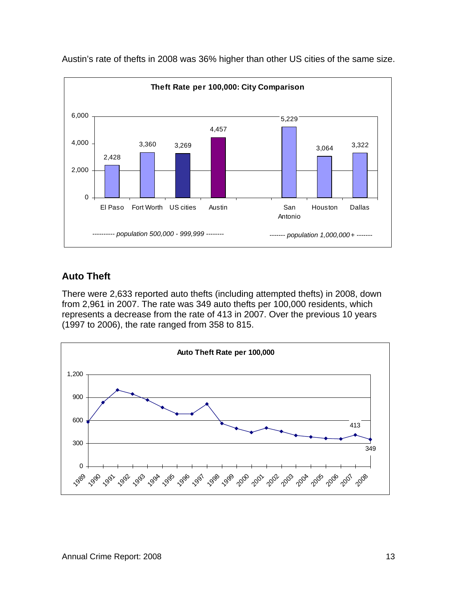

Austin's rate of thefts in 2008 was 36% higher than other US cities of the same size.

#### **Auto Theft**

There were 2,633 reported auto thefts (including attempted thefts) in 2008, down from 2,961 in 2007. The rate was 349 auto thefts per 100,000 residents, which represents a decrease from the rate of 413 in 2007. Over the previous 10 years (1997 to 2006), the rate ranged from 358 to 815.

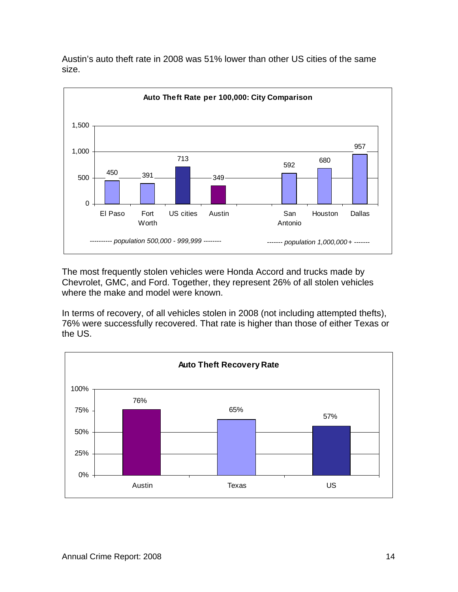

Austin's auto theft rate in 2008 was 51% lower than other US cities of the same size.

The most frequently stolen vehicles were Honda Accord and trucks made by Chevrolet, GMC, and Ford. Together, they represent 26% of all stolen vehicles where the make and model were known.

In terms of recovery, of all vehicles stolen in 2008 (not including attempted thefts), 76% were successfully recovered. That rate is higher than those of either Texas or the US.

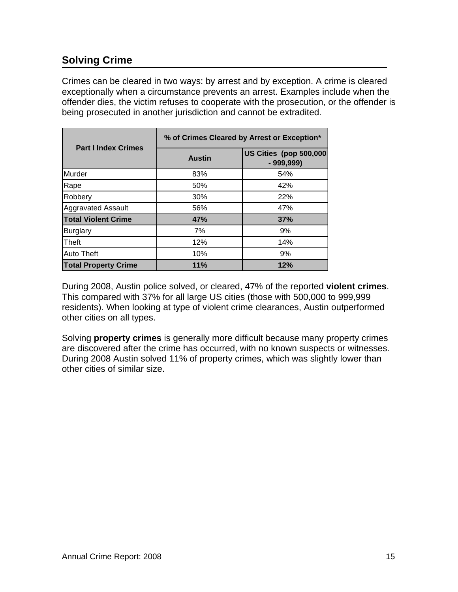# **Solving Crime**

Crimes can be cleared in two ways: by arrest and by exception. A crime is cleared exceptionally when a circumstance prevents an arrest. Examples include when the offender dies, the victim refuses to cooperate with the prosecution, or the offender is being prosecuted in another jurisdiction and cannot be extradited.

|                             | % of Crimes Cleared by Arrest or Exception* |                                       |  |  |  |  |
|-----------------------------|---------------------------------------------|---------------------------------------|--|--|--|--|
| <b>Part I Index Crimes</b>  | <b>Austin</b>                               | US Cities (pop 500,000<br>$-999,999)$ |  |  |  |  |
| Murder                      | 83%                                         | 54%                                   |  |  |  |  |
| Rape                        | 50%                                         | 42%                                   |  |  |  |  |
| Robbery                     | 30%                                         | <b>22%</b>                            |  |  |  |  |
| <b>Aggravated Assault</b>   | 56%                                         | 47%                                   |  |  |  |  |
| <b>Total Violent Crime</b>  | 47%                                         | 37%                                   |  |  |  |  |
| <b>Burglary</b>             | 7%                                          | 9%                                    |  |  |  |  |
| Theft                       | 12%                                         | 14%                                   |  |  |  |  |
| <b>Auto Theft</b>           | 10%                                         | 9%                                    |  |  |  |  |
| <b>Total Property Crime</b> | 11%                                         | 12%                                   |  |  |  |  |

During 2008, Austin police solved, or cleared, 47% of the reported **violent crimes**. This compared with 37% for all large US cities (those with 500,000 to 999,999 residents). When looking at type of violent crime clearances, Austin outperformed other cities on all types.

Solving **property crimes** is generally more difficult because many property crimes are discovered after the crime has occurred, with no known suspects or witnesses. During 2008 Austin solved 11% of property crimes, which was slightly lower than other cities of similar size.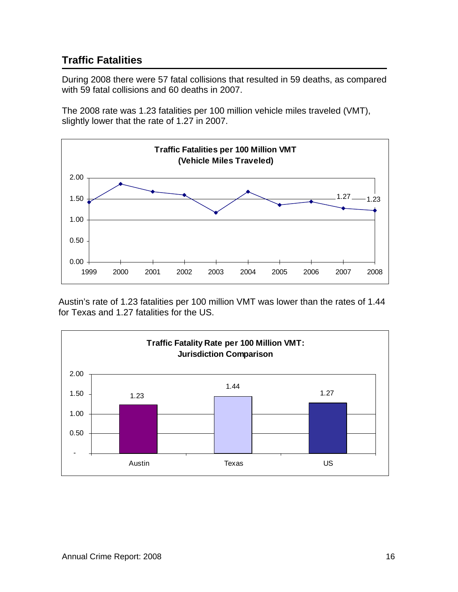# **Traffic Fatalities**

During 2008 there were 57 fatal collisions that resulted in 59 deaths, as compared with 59 fatal collisions and 60 deaths in 2007.

The 2008 rate was 1.23 fatalities per 100 million vehicle miles traveled (VMT), slightly lower that the rate of 1.27 in 2007.



Austin's rate of 1.23 fatalities per 100 million VMT was lower than the rates of 1.44 for Texas and 1.27 fatalities for the US.

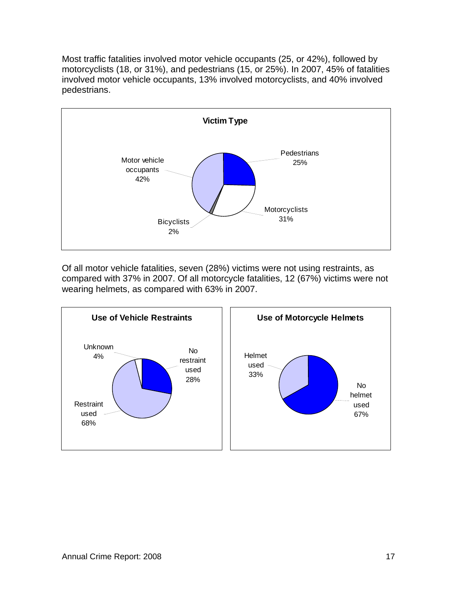Most traffic fatalities involved motor vehicle occupants (25, or 42%), followed by motorcyclists (18, or 31%), and pedestrians (15, or 25%). In 2007, 45% of fatalities involved motor vehicle occupants, 13% involved motorcyclists, and 40% involved pedestrians.



Of all motor vehicle fatalities, seven (28%) victims were not using restraints, as compared with 37% in 2007. Of all motorcycle fatalities, 12 (67%) victims were not wearing helmets, as compared with 63% in 2007.

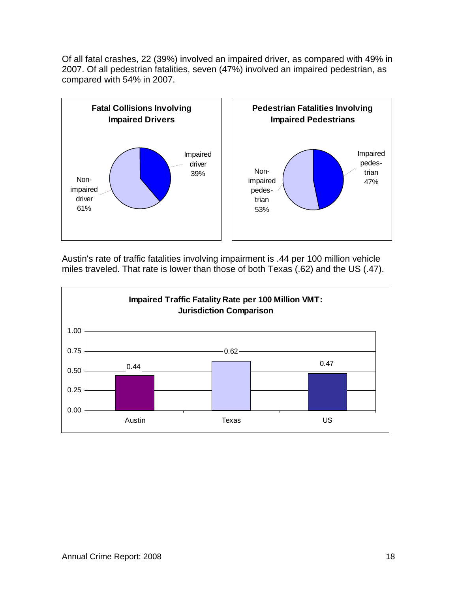Of all fatal crashes, 22 (39%) involved an impaired driver, as compared with 49% in 2007. Of all pedestrian fatalities, seven (47%) involved an impaired pedestrian, as compared with 54% in 2007.



Austin's rate of traffic fatalities involving impairment is .44 per 100 million vehicle miles traveled. That rate is lower than those of both Texas (.62) and the US (.47).